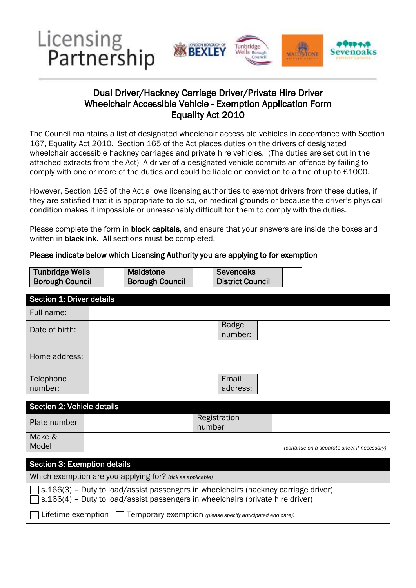

## Equality Act 2010 Dual Driver/Hackney Carriage Driver/Private Hire Driver Wheelchair Accessible Vehicle - Exemption Application Form

 167, Equality Act 2010. Section 165 of the Act places duties on the drivers of designated attached extracts from the Act) A driver of a designated vehicle commits an offence by failing to The Council maintains a list of designated wheelchair accessible vehicles in accordance with Section wheelchair accessible hackney carriages and private hire vehicles. (The duties are set out in the comply with one or more of the duties and could be liable on conviction to a fine of up to £1000.

 However, Section 166 of the Act allows licensing authorities to exempt drivers from these duties, if condition makes it impossible or unreasonably difficult for them to comply with the duties. they are satisfied that it is appropriate to do so, on medical grounds or because the driver's physical

Please complete the form in **block capitals**, and ensure that your answers are inside the boxes and written in **black ink**. All sections must be completed.

| <b>Tunbridge Wells</b>    | <b>Maidstone</b>       | <b>Sevenoaks</b>        |  |  |
|---------------------------|------------------------|-------------------------|--|--|
| <b>Borough Council</b>    | <b>Borough Council</b> | <b>District Council</b> |  |  |
| Section 1: Driver details |                        |                         |  |  |
| Full name:                |                        |                         |  |  |
| Date of birth:            |                        | <b>Badge</b><br>number: |  |  |
| Home address:             |                        |                         |  |  |
| Telephone<br>number:      |                        | Email<br>address:       |  |  |

#### Please indicate below which Licensing Authority you are applying to for exemption

| Section 2: Vehicle details |                        |                                             |
|----------------------------|------------------------|---------------------------------------------|
| Plate number               | Registration<br>number |                                             |
| Make &                     |                        |                                             |
| Model                      |                        | (continue on a separate sheet if necessary) |

| Section 3: Exemption details                                                                                                                                                       |
|------------------------------------------------------------------------------------------------------------------------------------------------------------------------------------|
| Which exemption are you applying for? (tick as applicable)                                                                                                                         |
| $\Box$ s.166(3) – Duty to load/assist passengers in wheelchairs (hackney carriage driver)<br>$\Box$ s.166(4) – Duty to load/assist passengers in wheelchairs (private hire driver) |
| $\Box$ Lifetime exemption $\Box$ Temporary exemption (please specify anticipated end date):                                                                                        |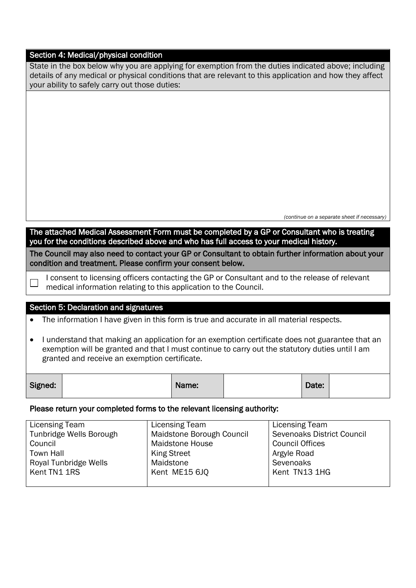#### Section 4: Medical/physical condition

| State in the box below why you are applying for exemption from the duties indicated above; including    |
|---------------------------------------------------------------------------------------------------------|
| details of any medical or physical conditions that are relevant to this application and how they affect |
| your ability to safely carry out those duties:                                                          |

 *(continue on a separate sheet if necessary)* 

The attached Medical Assessment Form must be completed by a GP or Consultant who is treating you for the conditions described above and who has full access to your medical history*.* 

The Council may also need to contact your GP or Consultant to obtain further information about your condition and treatment. Please confirm your consent below.

I consent to licensing officers contacting the GP or Consultant and to the release of relevant medical information relating to this application to the Council.

#### Section 5: Declaration and signatures

 $\Box$ 

The information I have given in this form is true and accurate in all material respects.

 I understand that making an application for an exemption certificate does not guarantee that an exemption will be granted and that I must continue to carry out the statutory duties until I am granted and receive an exemption certificate.

| Signed: | Name: | Date: |  |
|---------|-------|-------|--|
|         |       |       |  |

#### Please return your completed forms to the relevant licensing authority:

| Licensing Team          | Licensing Team            | Licensing Team                    |
|-------------------------|---------------------------|-----------------------------------|
| Tunbridge Wells Borough | Maidstone Borough Council | <b>Sevenoaks District Council</b> |
| Council                 | <b>Maidstone House</b>    | <b>Council Offices</b>            |
| <b>Town Hall</b>        | <b>King Street</b>        | Argyle Road                       |
| Royal Tunbridge Wells   | Maidstone                 | Sevenoaks                         |
| Kent TN1 1RS            | Kent ME15 6JQ             | Kent TN13 1HG                     |
|                         |                           |                                   |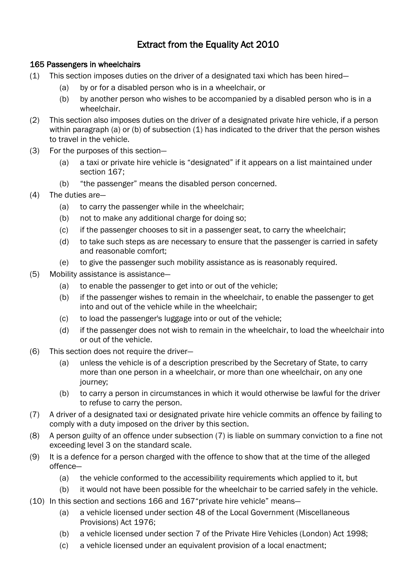# Extract from the Equality Act 2010

### 165 Passengers in wheelchairs

- (1) This section imposes duties on the driver of a designated taxi which has been hired—
	- (a) by or for a disabled person who is in a wheelchair, or
	- (b) by another person who wishes to be accompanied by a disabled person who is in a wheelchair.
- (2) This section also imposes duties on the driver of a designated private hire vehicle, if a person within paragraph (a) or (b) of subsection  $(1)$  has indicated to the driver that the person wishes to travel in the vehicle.
- (3) For the purposes of this section—
	- (a) a taxi or private hire vehicle is "designated" if it appears on a list maintained under section 167;
	- (b) "the passenger" means the disabled person concerned.
- (4) The duties are—
	- $(a)$ to carry the passenger while in the wheelchair;
	- (b) not to make any additional charge for doing so;
	- (c) if the passenger chooses to sit in a passenger seat, to carry the wheelchair;
	- (d) to take such steps as are necessary to ensure that the passenger is carried in safety and reasonable comfort;
	- (e) to give the passenger such mobility assistance as is reasonably required.
- (5) Mobility assistance is assistance—
	- (a) to enable the passenger to get into or out of the vehicle;
	- (b) if the passenger wishes to remain in the wheelchair, to enable the passenger to get into and out of the vehicle while in the wheelchair;
	- (c) to load the passenger's luggage into or out of the vehicle;
	- (d) if the passenger does not wish to remain in the wheelchair, to load the wheelchair into or out of the vehicle.
- (6) This section does not require the driver—
	- (a) unless the vehicle is of a description prescribed by the Secretary of State, to carry more than one person in a wheelchair, or more than one wheelchair, on any one iourney:
	- (b) to carry a person in circumstances in which it would otherwise be lawful for the driver to refuse to carry the person.
- (7) A driver of a designated taxi or designated private hire vehicle commits an offence by failing to comply with a duty imposed on the driver by this section.
- (8) A person guilty of an offence under subsection (7) is liable on summary conviction to a fine not exceeding level 3 on the standard scale.
- (9) It is a defence for a person charged with the offence to show that at the time of the alleged offence—
	- (a) the vehicle conformed to the accessibility requirements which applied to it, but
	- (b) it would not have been possible for the wheelchair to be carried safely in the vehicle.
- (10) In this section and sections 166 and 167"private hire vehicle" means—
	- (a) a vehicle licensed under section 48 of the Local Government (Miscellaneous Provisions) Act 1976;
	- (b) a vehicle licensed under section 7 of the Private Hire Vehicles (London) Act 1998;
	- (c) a vehicle licensed under an equivalent provision of a local enactment;